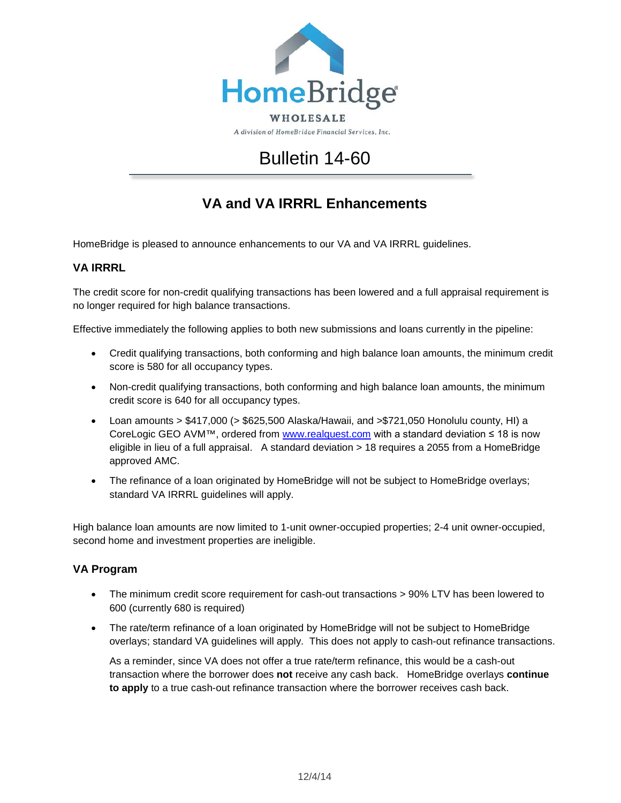

A division of HomeBridge Financial Services, Inc.

## Bulletin 14-60

## **VA and VA IRRRL Enhancements**

HomeBridge is pleased to announce enhancements to our VA and VA IRRRL guidelines.

## **VA IRRRL**

The credit score for non-credit qualifying transactions has been lowered and a full appraisal requirement is no longer required for high balance transactions.

Effective immediately the following applies to both new submissions and loans currently in the pipeline:

- Credit qualifying transactions, both conforming and high balance loan amounts, the minimum credit score is 580 for all occupancy types.
- Non-credit qualifying transactions, both conforming and high balance loan amounts, the minimum credit score is 640 for all occupancy types.
- Loan amounts > \$417,000 (> \$625,500 Alaska/Hawaii, and >\$721,050 Honolulu county, HI) a CoreLogic GEO AVM™, ordered from [www.realquest.com](http://www.realquest.com/) with a standard deviation ≤ 18 is now eligible in lieu of a full appraisal. A standard deviation > 18 requires a 2055 from a HomeBridge approved AMC.
- The refinance of a loan originated by HomeBridge will not be subject to HomeBridge overlays; standard VA IRRRL guidelines will apply.

High balance loan amounts are now limited to 1-unit owner-occupied properties; 2-4 unit owner-occupied, second home and investment properties are ineligible.

## **VA Program**

- The minimum credit score requirement for cash-out transactions > 90% LTV has been lowered to 600 (currently 680 is required)
- The rate/term refinance of a loan originated by HomeBridge will not be subject to HomeBridge overlays; standard VA guidelines will apply. This does not apply to cash-out refinance transactions.

As a reminder, since VA does not offer a true rate/term refinance, this would be a cash-out transaction where the borrower does **not** receive any cash back. HomeBridge overlays **continue to apply** to a true cash-out refinance transaction where the borrower receives cash back.